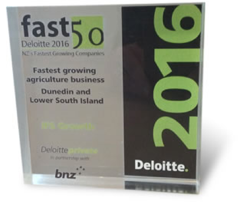fast $5$ Deloitte 2016 NZ s Fastinst Growing Companies

**Fastest growing** agriculture business **Dunedin and Lower South Island** 

Deloitte

h<sub>n</sub>

**Deloitte.**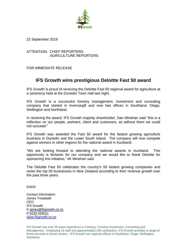

22 September 2016

ATTENTION: CHIEF REPORTERS AGRICULTURE REPORTERS

FOR IMMEDIATE RELEASE

## **IFS Growth wins prestigious Deloitte Fast 50 award**

IFS Growth is proud of receiving the Deloitte Fast 50 regional award for agriculture at a ceremony held at the Dunedin Town Hall last night.

IFS Growth is a successful forestry management, investment and consulting company that started in Invercargill and now has offices in Southland, Otago, Wellington and Northland.

In receiving the award, IFS Growth majority shareholder, Dan Minehan said "this is a reflection on our people, partners, client and customers, as without them we could not succeed."

IFS Growth was awarded the Fast 50 award for the fastest growing agriculture business in Dunedin and the Lower South Island. The company will now compete against winners in other regions for the national award in Auckland.

"We are looking forward to attending the national awards in Auckland. This opportunity is fantastic for our company and we would like to thank Deloitte for sponsoring this initiative," Mr Minehan said.

The Deloitte Fast 50 celebrates the country's 50 fastest growing companies and ranks the top 50 businesses in New Zealand according to their revenue growth over the past three years.

ENDS

Contact information: James Treadwell CEO IFS Growth E [james@ifsgrowth.co.nz](mailto:james@ifsgrowth.co.nz) P 0220 434511 www.ifsgrowth.co.nz

IFS Growth has over 30 years experience in Forestry, Forestry Investment, Consulting and Management. Employing 19 staff and approximately 200 contractors, IFS Growth provides a range of forest services to forest owners. IFS Growth has regional offices in Southland, Otago, Wellington, Northland.